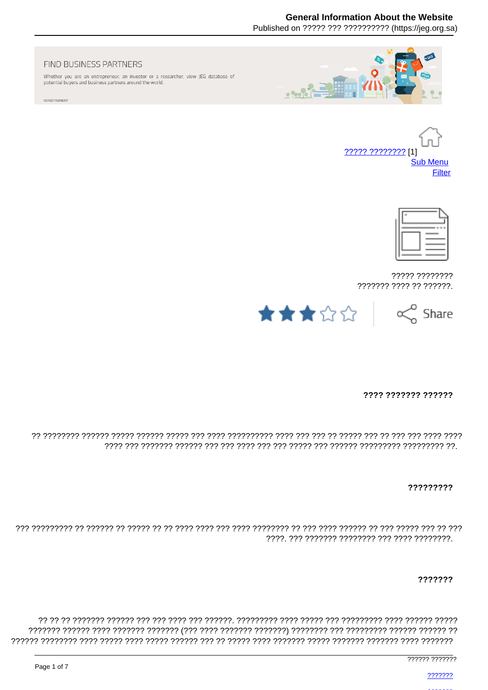# **General Information About the Website**

Published on ????? ??? ?????????? (https://jeg.org.sa)



#### FIND BUSINESS PARTNERS

Whether you are an entrepreneur, an investor or a researcher, view JEG database of potential buyers and business partners around the world.

ADVERTISMENT





????? ???????? ??????? ???? ?? ??????.





?????????

???????

777777 7777777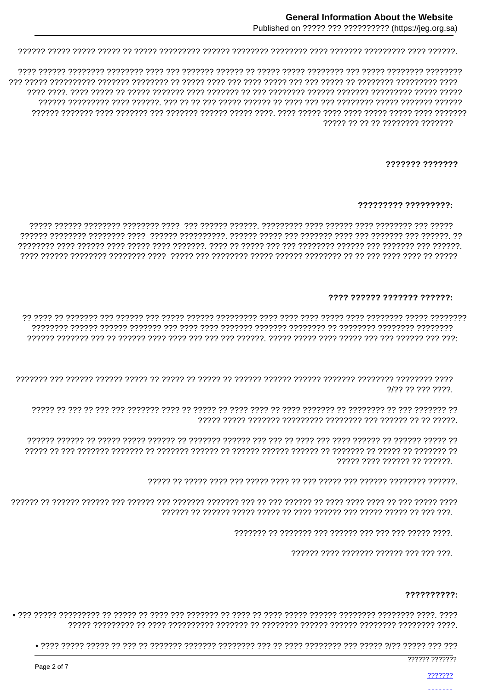דרדרדרדר דרדרדרד רדרדרד רדר דרדה דרדרדר דרדרד דרדרד רד רדרדר דרדרדר דרד רדרד רדרד דרדרדר דרדרדרד דרדרדר דרדר 77777 77 77 77 7777777 7777777

7777777 7777777

### ????????? ?????????

<u>ודרכבר בכך ברקבר בכך הכך המכור ברכבר בכך הכך בכך בכך כך בכך בכך הכרכבר בכך בכרכב בכרכב בכרכב בכרכב בכרכבר בכ</u> דרדרד רד דרדר דרדר רדר רד רד רדרדרדר דרדרדר דרדרד דרדרד דרדרדר רדר דרדר דרדר דרדרד דרדרדר דרדרדר דרדרדר דרדר

### ???? ?????? ??????? ??????:

?/?? ?? ??? ????.

????? ???? ?????? ?? ??????.

רורורך רברכבר ברורכב המוליל להליל להליל להליל להליל להליל להליל להליל להליל להליל ל

777777 7777 7777777 777777 777 777 777.

### ??????????:

777777 7777777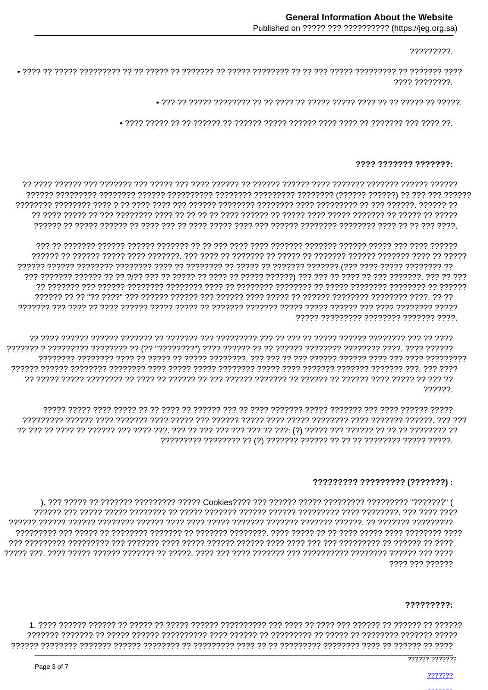777777777

• 2001 061-01210 107 10810 10910 10920 1092010 1092010 1092010 1092010 1092010 1092010 1092010 10920 10920 109 ???? ????????.

## 7777 7777777 7777777

רר רררררר רררררר ררר רר רררכולי ררוב ררוב רררובררך רררוברר רררכוב ררך ררך ררוב ררך רך ר ררוב ררכובררך רררובררך 

77777 777777777 77777777 7777777 7777.

777777

# 

7777 777 777777

### ?????????:

777777 777777

???????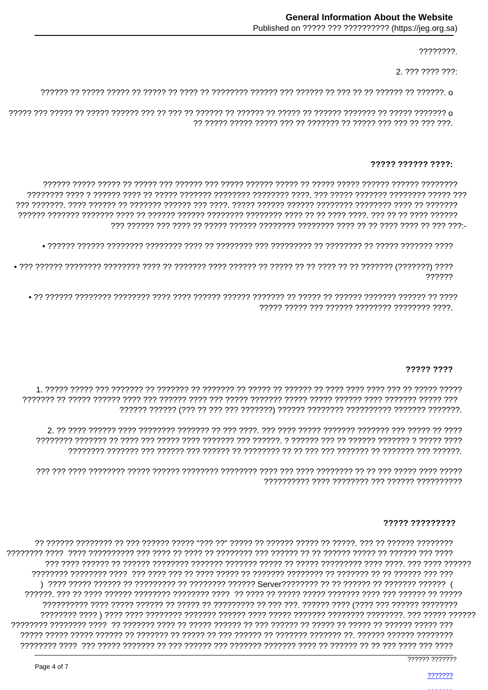????????

 $222222222$ 

רדר דרך דר דרך דרך דרך דרך דר דרדרדרך דר דרך דרדר דרדרך דרדר דר

## $22222222222222$

222222

 $\bullet$  77 בריך דר לקבוצה המונדר להוויד המונדר בר המונדר המונדר המונדר המונדר המונדר המונדר המונדר המונדר המונדר המ 

### ????? ????

#### ????? ?????????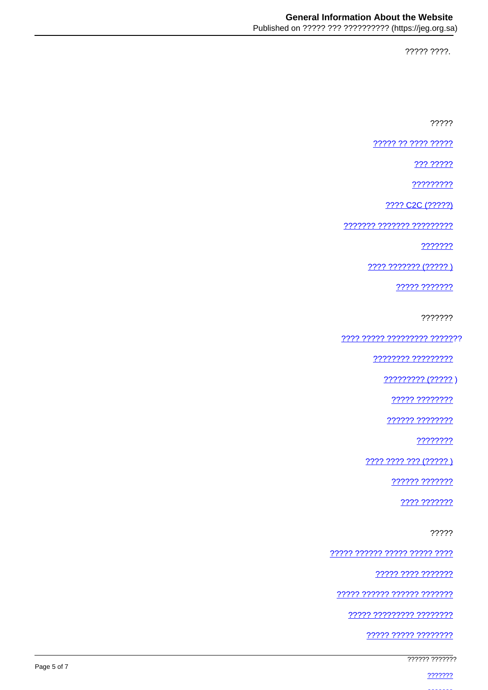????? ????.

?????

????? ?? ???? ?????

<u> ??? ?????</u>

?????????

???? C2C (?????)

??????? ??????? ?????????

???????

???? ??????? (?????)

????? ???????

???????

<u> ???? ????? ????????? ??????</u>?

???????? ?????????

????????? (????? )

????? ????????

?????? ????????

????????

???? ???? ??? (????? )

?????? ???????

???? ???????

?????

<u> ????? ?????? ????? ????? ????</u>

22222 2222 2222222

77777 777777 777777 7777777

77777 777777777 77777777

77777 77777 77777777

777777 7777777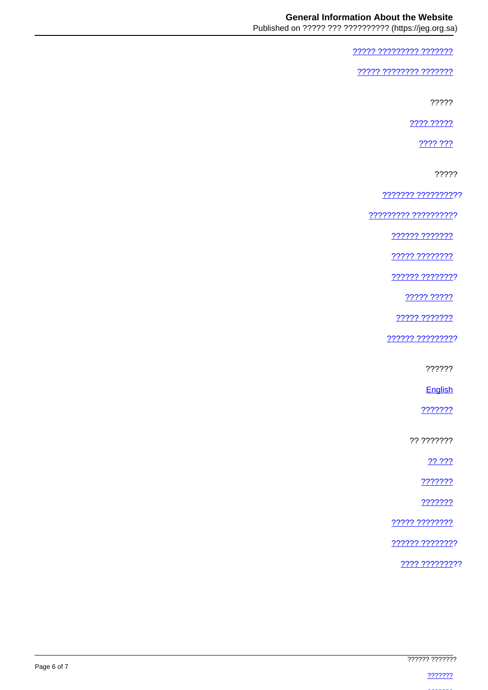Published on ????? ??? ?????????? (https://jeg.org.sa)

77777 777777777 7777777

77777 77777777 7777777

?????

???? ?????

???? ???

?????

<u> ??????? ??????????</u>

????????? ???????????

222222 2222222

22222 22222222

?????? ????????

????? ?????

????? ???????

?????? ?????????

??????

English

???????

?? ???????

22.222

???????

???????

22222 22222222

?????? ????????

???? ?????????

|             | ?????? ??????? |
|-------------|----------------|
| Page 6 of 7 |                |
|             | 2222222        |
|             |                |